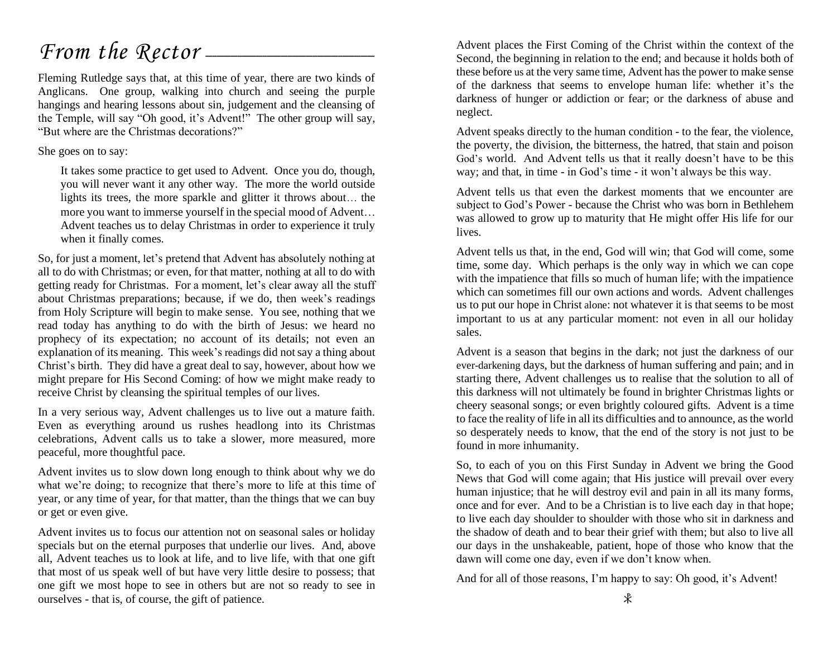### *From the Rector* —

Fleming Rutledge says that, at this time of year, there are two kinds of Anglicans. One group, walking into church and seeing the purple hangings and hearing lessons about sin, judgement and the cleansing of the Temple, will say "Oh good, it's Advent!" The other group will say, "But where are the Christmas decorations?"

She goes on to say:

It takes some practice to get used to Advent. Once you do, though, you will never want it any other way. The more the world outside lights its trees, the more sparkle and glitter it throws about… the more you want to immerse yourself in the special mood of Advent... Advent teaches us to delay Christmas in order to experience it truly when it finally comes.

So, for just a moment, let's pretend that Advent has absolutely nothing at all to do with Christmas; or even, for that matter, nothing at all to do with getting ready for Christmas. For a moment, let's clear away all the stuff about Christmas preparations; because, if we do, then week's readings from Holy Scripture will begin to make sense. You see, nothing that we read today has anything to do with the birth of Jesus: we heard no prophecy of its expectation; no account of its details; not even an explanation of its meaning. This week's readings did not say a thing about Christ's birth. They did have a great deal to say, however, about how we might prepare for His Second Coming: of how we might make ready to receive Christ by cleansing the spiritual temples of our lives.

In a very serious way, Advent challenges us to live out a mature faith. Even as everything around us rushes headlong into its Christmas celebrations, Advent calls us to take a slower, more measured, more peaceful, more thoughtful pace.

Advent invites us to slow down long enough to think about why we do what we're doing; to recognize that there's more to life at this time of year, or any time of year, for that matter, than the things that we can buy or get or even give.

Advent invites us to focus our attention not on seasonal sales or holiday specials but on the eternal purposes that underlie our lives. And, above all, Advent teaches us to look at life, and to live life, with that one gift that most of us speak well of but have very little desire to possess; that one gift we most hope to see in others but are not so ready to see in ourselves - that is, of course, the gift of patience.

Advent places the First Coming of the Christ within the context of the Second, the beginning in relation to the end; and because it holds both of these before us at the very same time, Advent has the power to make sense of the darkness that seems to envelope human life: whether it's the darkness of hunger or addiction or fear; or the darkness of abuse and neglect.

Advent speaks directly to the human condition - to the fear, the violence, the poverty, the division, the bitterness, the hatred, that stain and poison God's world. And Advent tells us that it really doesn't have to be this way; and that, in time - in God's time - it won't always be this way.

Advent tells us that even the darkest moments that we encounter are subject to God's Power - because the Christ who was born in Bethlehem was allowed to grow up to maturity that He might offer His life for our lives.

Advent tells us that, in the end, God will win; that God will come, some time, some day. Which perhaps is the only way in which we can cope with the impatience that fills so much of human life; with the impatience which can sometimes fill our own actions and words. Advent challenges us to put our hope in Christ alone: not whatever it is that seems to be most important to us at any particular moment: not even in all our holiday sales.

Advent is a season that begins in the dark; not just the darkness of our ever-darkening days, but the darkness of human suffering and pain; and in starting there, Advent challenges us to realise that the solution to all of this darkness will not ultimately be found in brighter Christmas lights or cheery seasonal songs; or even brightly coloured gifts. Advent is a time to face the reality of life in all its difficulties and to announce, as the world so desperately needs to know, that the end of the story is not just to be found in more inhumanity.

So, to each of you on this First Sunday in Advent we bring the Good News that God will come again; that His justice will prevail over every human injustice; that he will destroy evil and pain in all its many forms, once and for ever. And to be a Christian is to live each day in that hope; to live each day shoulder to shoulder with those who sit in darkness and the shadow of death and to bear their grief with them; but also to live all our days in the unshakeable, patient, hope of those who know that the dawn will come one day, even if we don't know when.

And for all of those reasons, I'm happy to say: Oh good, it's Advent!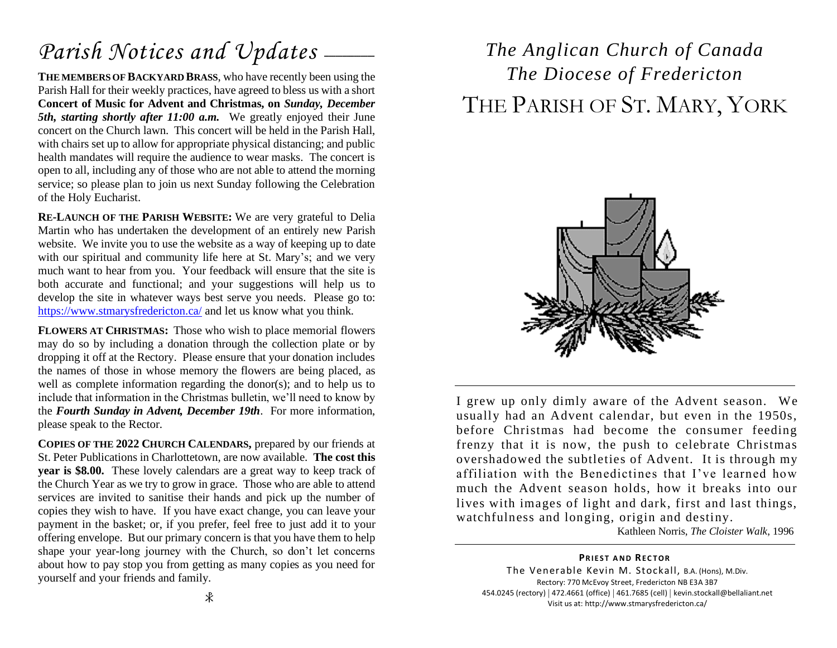## Parish Notices and Updates \_\_\_\_\_

**THE MEMBERS OF BACKYARD BRASS**, who have recently been using the Parish Hall for their weekly practices, have agreed to bless us with a short **Concert of Music for Advent and Christmas, on** *Sunday, December 5th, starting shortly after 11:00 a.m.* We greatly enjoyed their June concert on the Church lawn. This concert will be held in the Parish Hall, with chairs set up to allow for appropriate physical distancing; and public health mandates will require the audience to wear masks. The concert is open to all, including any of those who are not able to attend the morning service; so please plan to join us next Sunday following the Celebration of the Holy Eucharist.

**RE-LAUNCH OF THE PARISH WEBSITE:** We are very grateful to Delia Martin who has undertaken the development of an entirely new Parish website. We invite you to use the website as a way of keeping up to date with our spiritual and community life here at St. Mary's; and we very much want to hear from you. Your feedback will ensure that the site is both accurate and functional; and your suggestions will help us to develop the site in whatever ways best serve you needs. Please go to: <https://www.stmarysfredericton.ca/> and let us know what you think.

**FLOWERS AT CHRISTMAS:** Those who wish to place memorial flowers may do so by including a donation through the collection plate or by dropping it off at the Rectory. Please ensure that your donation includes the names of those in whose memory the flowers are being placed, as well as complete information regarding the donor(s); and to help us to include that information in the Christmas bulletin, we'll need to know by the *Fourth Sunday in Advent, December 19th*. For more information, please speak to the Rector.

**COPIES OF THE 2022 CHURCH CALENDARS,** prepared by our friends at St. Peter Publications in Charlottetown, are now available. **The cost this year is \$8.00.** These lovely calendars are a great way to keep track of the Church Year as we try to grow in grace. Those who are able to attend services are invited to sanitise their hands and pick up the number of copies they wish to have. If you have exact change, you can leave your payment in the basket; or, if you prefer, feel free to just add it to your offering envelope. But our primary concern is that you have them to help shape your year-long journey with the Church, so don't let concerns about how to pay stop you from getting as many copies as you need for yourself and your friends and family.

### *The Anglican Church of Canada The Diocese of Fredericton* THE PARISH OF ST. MARY, YORK



I grew up only dimly aware of the Advent season. We usually had an Advent calendar, but even in the 1950s, before Christmas had become the consumer feeding frenzy that it is now, the push to celebrate Christmas overshadowed the subtleties of Advent. It is through my affiliation with the Benedictines that I've learned how much the Advent season holds, how it breaks into our lives with images of light and dark, first and last things, watchfulness and longing, origin and destiny.

Kathleen Norris, *The Cloister Walk*, 1996

**PRIEST AND RECTOR** The Venerable Kevin M. Stockall, B.A. (Hons), M.Div. Rectory: 770 McEvoy Street, Fredericton NB E3A 3B7 454.0245 (rectory) | 472.4661 (office) | 461.7685 (cell) | kevin.stockall@bellaliant.net Visit us at: http://www.stmarysfredericton.ca/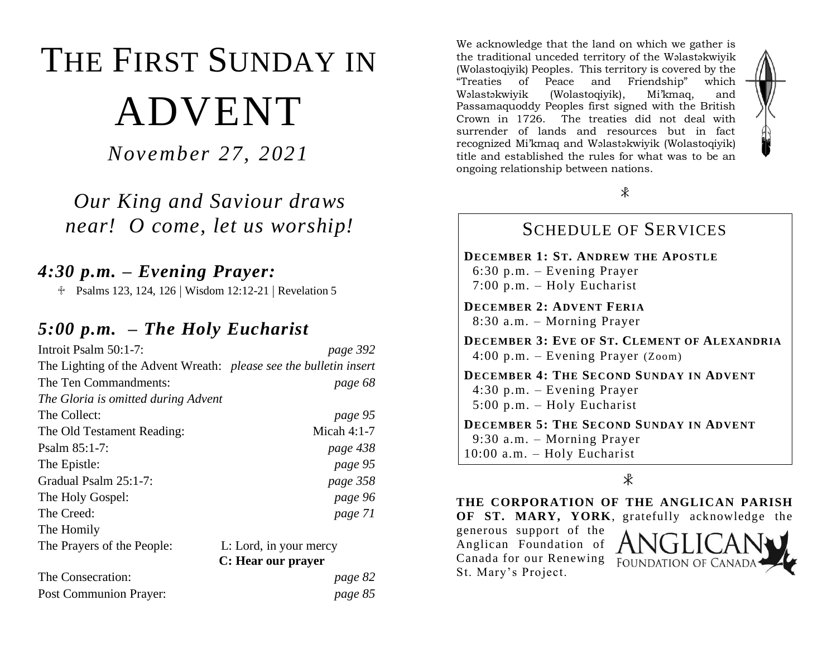# THE FIRST SUNDAY IN ADVENT

*November 27, 2021*

*Our King and Saviour draws near! O come, let us worship!*

### *4:30 p.m. – Evening Prayer:*

**Psalms 123, 124, 126 | Wisdom 12:12-21 | Revelation 5** 

### *5:00 p.m. – The Holy Eucharist*

| Introit Psalm $50:1-7$ :                                          | page 392               |
|-------------------------------------------------------------------|------------------------|
| The Lighting of the Advent Wreath: please see the bulletin insert |                        |
| The Ten Commandments:                                             | page 68                |
| The Gloria is omitted during Advent                               |                        |
| The Collect:                                                      | page 95                |
| The Old Testament Reading:                                        | Micah $4:1-7$          |
| Psalm $85:1-7$ :                                                  | page 438               |
| The Epistle:                                                      | page 95                |
| Gradual Psalm 25:1-7:                                             | page 358               |
| The Holy Gospel:                                                  | page 96                |
| The Creed:                                                        | page 71                |
| The Homily                                                        |                        |
| The Prayers of the People:                                        | L: Lord, in your mercy |
|                                                                   | C: Hear our prayer     |
| The Consecration:                                                 | page 82                |
| Post Communion Prayer:                                            | page 85                |

We acknowledge that the land on which we gather is the traditional unceded territory of the Wəlastəkwiyik (Wolastoqiyik) Peoples. This territory is covered by the "Treaties of Peace and Friendship" which Wəlastəkwiyik (Wolastoqiyik), Mi'kmaq, and Passamaquoddy Peoples first signed with the British Crown in 1726. The treaties did not deal with surrender of lands and resources but in fact recognized Mi'kmaq and Wəlastəkwiyik (Wolastoqiyik) title and established the rules for what was to be an ongoing relationship between nations.



### SCHEDULE OF SERVICES

**DECEMBER 1: ST. ANDREW THE APOSTLE** 6:30 p.m. – Evening Prayer 7:00 p.m. – Holy Eucharist

**DECEMBER 2: ADVENT FERIA** 8:30 a.m. – Morning Prayer

**DECEMBER 3: EVE OF ST. CLEMENT OF ALEXANDRIA** 4:00 p.m. – Evening Prayer (Zoom)

**DECEMBER 4: THE SECOND SUNDAY IN ADVENT** 4:30 p.m. – Evening Prayer 5:00 p.m. – Holy Eucharist

**DECEMBER 5: THE SECOND SUNDAY IN ADVENT** 9:30 a.m. – Morning Prayer 10:00 a.m. – Holy Eucharist

 $\ast$ 

**THE CORPORATION OF THE ANGLICAN PARISH OF ST. MARY, YORK**, gratefully acknowledge the

generous support of the Anglican Foundation of Canada for our Renewing St. Mary's Project.

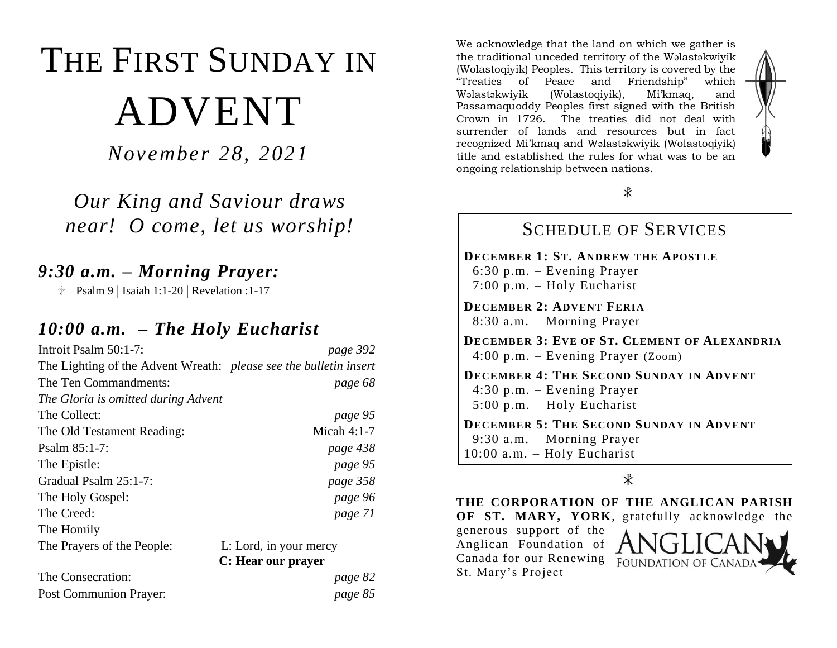# THE FIRST SUNDAY IN ADVENT

*November 28, 2021*

*Our King and Saviour draws near! O come, let us worship!*

### *9:30 a.m. – Morning Prayer:*

 $\text{\textdegree}$  Psalm 9 | Isaiah 1:1-20 | Revelation :1-17

### *10:00 a.m. – The Holy Eucharist*

| Introit Psalm $50:1-7$ :                                          | page 392               |
|-------------------------------------------------------------------|------------------------|
| The Lighting of the Advent Wreath: please see the bulletin insert |                        |
| The Ten Commandments:                                             | page 68                |
| The Gloria is omitted during Advent                               |                        |
| The Collect:                                                      | page 95                |
| The Old Testament Reading:                                        | Micah $4:1-7$          |
| Psalm $85:1-7$ :                                                  | page 438               |
| The Epistle:                                                      | page 95                |
| Gradual Psalm 25:1-7:                                             | page 358               |
| The Holy Gospel:                                                  | page 96                |
| The Creed:                                                        | page 71                |
| The Homily                                                        |                        |
| The Prayers of the People:                                        | L: Lord, in your mercy |
|                                                                   | C: Hear our prayer     |
| The Consecration:                                                 | page 82                |
| <b>Post Communion Prayer:</b>                                     | page 85                |

We acknowledge that the land on which we gather is the traditional unceded territory of the Wəlastəkwiyik (Wolastoqiyik) Peoples. This territory is covered by the "Treaties of Peace and Friendship" which Wəlastəkwiyik (Wolastoqiyik), Mi'kmaq, and Passamaquoddy Peoples first signed with the British Crown in 1726. The treaties did not deal with surrender of lands and resources but in fact recognized Mi'kmaq and Wəlastəkwiyik (Wolastoqiyik) title and established the rules for what was to be an ongoing relationship between nations.



### SCHEDULE OF SERVICES

**DECEMBER 1: ST. ANDREW THE APOSTLE** 6:30 p.m. – Evening Prayer 7:00 p.m. – Holy Eucharist

**DECEMBER 2: ADVENT FERIA** 8:30 a.m. – Morning Prayer

**DECEMBER 3: EVE OF ST. CLEMENT OF ALEXANDRIA** 4:00 p.m. – Evening Prayer (Zoom)

**DECEMBER 4: THE SECOND SUNDAY IN ADVENT** 4:30 p.m. – Evening Prayer 5:00 p.m. – Holy Eucharist **DECEMBER 5: THE SECOND SUNDAY IN ADVENT**

 9:30 a.m. – Morning Prayer 10:00 a.m. – Holy Eucharist

 $\ast$ 

**THE CORPORATION OF THE ANGLICAN PARISH** 

**OF ST. MARY, YORK**, gratefully acknowledge the

generous support of the Anglican Foundation of Canada for our Renewing St. Mary's Project